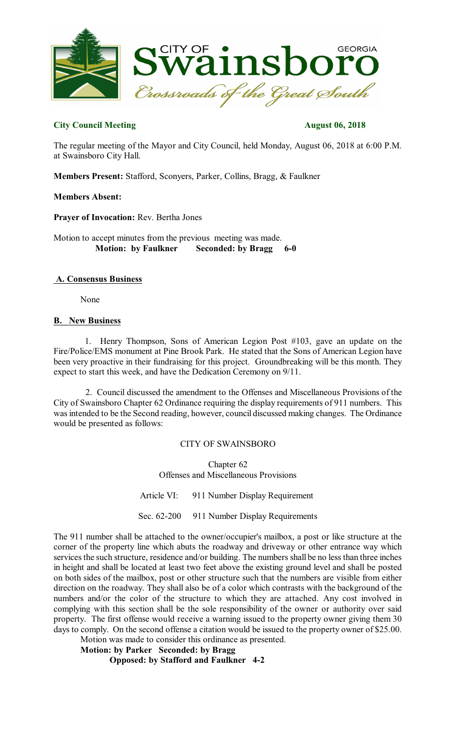

# **City Council Meeting August 06, 2018**

The regular meeting of the Mayor and City Council, held Monday, August 06, 2018 at 6:00 P.M. at Swainsboro City Hall.

**Members Present:** Stafford, Sconyers, Parker, Collins, Bragg, & Faulkner

## **Members Absent:**

**Prayer of Invocation:** Rev. Bertha Jones

Motion to accept minutes from the previous meeting was made. **Motion: by Faulkner Seconded: by Bragg 6-0**

## **A. Consensus Business**

None

## **B. New Business**

1. Henry Thompson, Sons of American Legion Post #103, gave an update on the Fire/Police/EMS monument at Pine Brook Park. He stated that the Sons of American Legion have been very proactive in their fundraising for this project. Groundbreaking will be this month. They expect to start this week, and have the Dedication Ceremony on 9/11.

2. Council discussed the amendment to the Offenses and Miscellaneous Provisions of the City of Swainsboro Chapter 62 Ordinance requiring the display requirements of 911 numbers. This was intended to be the Second reading, however, council discussed making changes. The Ordinance would be presented as follows:

## CITY OF SWAINSBORO

Chapter 62 Offenses and Miscellaneous Provisions

Article VI: 911 Number Display Requirement

Sec. 62-200 911 Number Display Requirements

The 911 number shall be attached to the owner/occupier's mailbox, a post or like structure at the corner of the property line which abuts the roadway and driveway or other entrance way which services the such structure, residence and/or building. The numbers shall be no less than three inches in height and shall be located at least two feet above the existing ground level and shall be posted on both sides of the mailbox, post or other structure such that the numbers are visible from either direction on the roadway. They shall also be of a color which contrasts with the background of the numbers and/or the color of the structure to which they are attached. Any cost involved in complying with this section shall be the sole responsibility of the owner or authority over said property. The first offense would receive a warning issued to the property owner giving them 30 days to comply. On the second offense a citation would be issued to the property owner of \$25.00. Motion was made to consider this ordinance as presented.

**Motion: by Parker Seconded: by Bragg Opposed: by Stafford and Faulkner 4-2**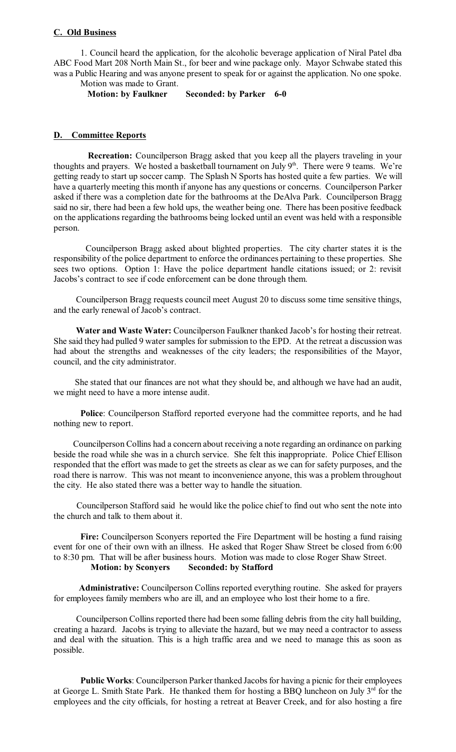#### **C. Old Business**

1. Council heard the application, for the alcoholic beverage application of Niral Patel dba ABC Food Mart 208 North Main St., for beer and wine package only. Mayor Schwabe stated this was a Public Hearing and was anyone present to speak for or against the application. No one spoke. Motion was made to Grant.

**Motion: by Faulkner Seconded: by Parker 6-0** 

#### **D. Committee Reports**

**Recreation:** Councilperson Bragg asked that you keep all the players traveling in your thoughts and prayers. We hosted a basketball tournament on July 9<sup>th</sup>. There were 9 teams. We're getting ready to start up soccer camp. The Splash N Sports has hosted quite a few parties. We will have a quarterly meeting this month if anyone has any questions or concerns. Councilperson Parker asked if there was a completion date for the bathrooms at the DeAlva Park. Councilperson Bragg said no sir, there had been a few hold ups, the weather being one. There has been positive feedback on the applications regarding the bathrooms being locked until an event was held with a responsible person.

Councilperson Bragg asked about blighted properties. The city charter states it is the responsibility of the police department to enforce the ordinances pertaining to these properties. She sees two options. Option 1: Have the police department handle citations issued; or 2: revisit Jacobs's contract to see if code enforcement can be done through them.

Councilperson Bragg requests council meet August 20 to discuss some time sensitive things, and the early renewal of Jacob's contract.

**Water and Waste Water:** Councilperson Faulkner thanked Jacob's for hosting their retreat. She said they had pulled 9 water samples for submission to the EPD. At the retreat a discussion was had about the strengths and weaknesses of the city leaders; the responsibilities of the Mayor, council, and the city administrator.

She stated that our finances are not what they should be, and although we have had an audit, we might need to have a more intense audit.

**Police**: Councilperson Stafford reported everyone had the committee reports, and he had nothing new to report.

Councilperson Collins had a concern about receiving a note regarding an ordinance on parking beside the road while she was in a church service. She felt this inappropriate. Police Chief Ellison responded that the effort was made to get the streets as clear as we can for safety purposes, and the road there is narrow. This was not meant to inconvenience anyone, this was a problem throughout the city. He also stated there was a better way to handle the situation.

Councilperson Stafford said he would like the police chief to find out who sent the note into the church and talk to them about it.

**Fire:** Councilperson Sconyers reported the Fire Department will be hosting a fund raising event for one of their own with an illness. He asked that Roger Shaw Street be closed from 6:00 to 8:30 pm. That will be after business hours. Motion was made to close Roger Shaw Street.<br>Motion: by Sconyers Seconded: by Stafford **Motion: by Sconyers Seconded: by Stafford** 

**Administrative:** Councilperson Collins reported everything routine. She asked for prayers for employees family members who are ill, and an employee who lost their home to a fire.

Councilperson Collins reported there had been some falling debris from the city hall building, creating a hazard. Jacobs is trying to alleviate the hazard, but we may need a contractor to assess and deal with the situation. This is a high traffic area and we need to manage this as soon as possible.

Public Works: Councilperson Parker thanked Jacobs for having a picnic for their employees at George L. Smith State Park. He thanked them for hosting a BBQ luncheon on July 3<sup>rd</sup> for the employees and the city officials, for hosting a retreat at Beaver Creek, and for also hosting a fire